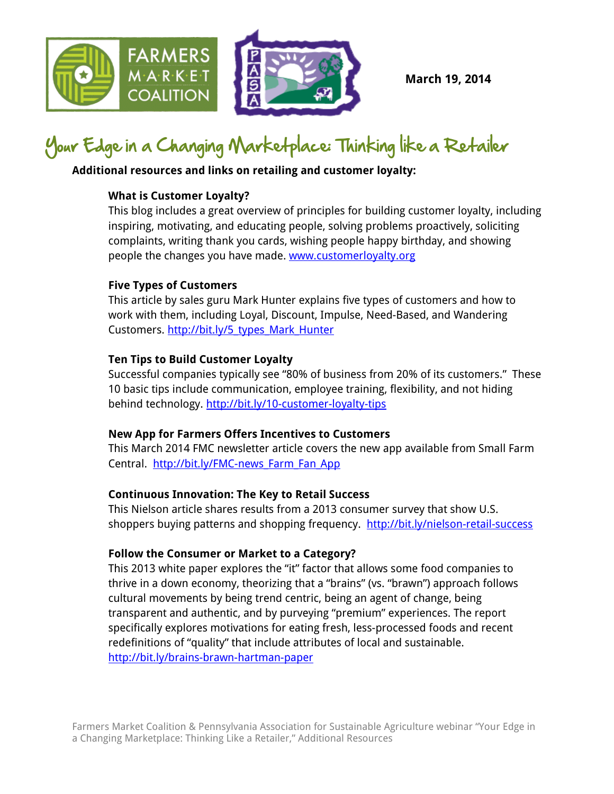

**March 19, 2014**

## Your Edge in a Changing Marketplace: Thinking like a Retailer

### **Additional resources and links on retailing and customer loyalty:**

### **What is Customer Loyalty?**

This blog includes a great overview of principles for building customer loyalty, including inspiring, motivating, and educating people, solving problems proactively, soliciting complaints, writing thank you cards, wishing people happy birthday, and showing people the changes you have made. [www.customerloyalty.org](http://www.customerloyalty.org/)

### **Five Types of Customers**

This article by sales guru Mark Hunter explains five types of customers and how to work with them, including Loyal, Discount, Impulse, Need-Based, and Wandering Customers. [http://bit.ly/5\\_types\\_Mark\\_Hunter](http://bit.ly/5_types_Mark_Hunter)

### **Ten Tips to Build Customer Loyalty**

Successful companies typically see "80% of business from 20% of its customers." These 10 basic tips include communication, employee training, flexibility, and not hiding behind technology. <http://bit.ly/10-customer-loyalty-tips>

### **New App for Farmers Offers Incentives to Customers**

[This](http://farmfanapp.com/about/forfarmers) March 2014 FMC newsletter article covers the new app available from Small Farm Central. http://bit.ly/FMC-news Farm Fan App

### **Continuous Innovation: The Key to Retail Success**

This Nielson article shares results from a 2013 consumer survey that show U.S. shoppers buying patterns and shopping frequency. <http://bit.ly/nielson-retail-success>

### **Follow the Consumer or Market to a Category?**

This 2013 white paper explores the "it" factor that allows some food companies to thrive in a down economy, theorizing that a "brains" (vs. "brawn") approach follows cultural movements by being trend centric, being an agent of change, being transparent and authentic, and by purveying "premium" experiences. The report specifically explores motivations for eating fresh, less-processed foods and recent redefinitions of "quality" that include attributes of local and sustainable. <http://bit.ly/brains-brawn-hartman-paper>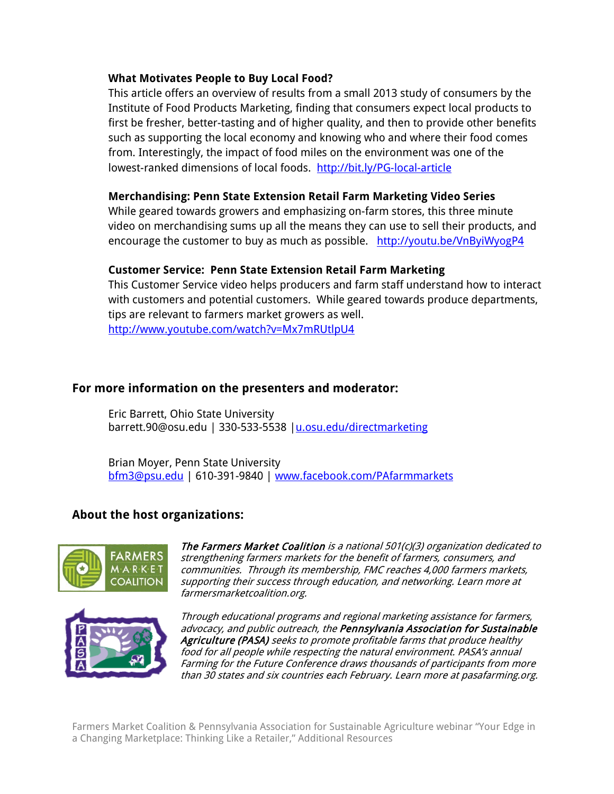#### **What Motivates People to Buy Local Food?**

This article offers an overview of results from a small 2013 study of consumers by the Institute of Food Products Marketing, finding that consumers expect local products to first be fresher, better-tasting and of higher quality, and then to provide other benefits such as supporting the local economy and knowing who and where their food comes from. Interestingly, the impact of food miles on the environment was one of the lowest-ranked dimensions of local foods. <http://bit.ly/PG-local-article>

### **Merchandising: Penn State Extension Retail Farm Marketing Video Series**

While geared towards growers and emphasizing on-farm stores, this three minute video on merchandising sums up all the means they can use to sell their products, and encourage the customer to buy as much as possible. http://youtu.be/VnByiWyogP4

### **Customer Service: Penn State Extension Retail Farm Marketing**

This Customer Service video helps producers and farm staff understand how to interact with customers and potential customers. While geared towards produce departments, tips are relevant to farmers market growers as well. <http://www.youtube.com/watch?v=Mx7mRUtlpU4>

### **For more information on the presenters and moderator:**

Eric Barrett, Ohio State University [barrett.90@osu.edu](mailto:barrett.90@osu.edu) | 330-533-5538 | u.osu.edu/directmarketing

Brian Moyer, Penn State University [bfm3@psu.edu](mailto:bfm3@psu.edu) | 610-391-9840 | [www.facebook.com/PAfarmmarkets](http://www.facebook.com/PAfarmmarkets)

### **About the host organizations:**



Th[e Farmers Market Coalition](http://www.farmersmarketcoalition.org/) is a national 501(c)(3) organization dedicated to strengthening farmers markets for the benefit of farmers, consumers, and communities. Through its membership, FMC reaches 4,000 farmers markets, supporting their success through education, and networking. Learn more at farmersmarketcoalition.org.



Through educational programs and regional marketing assistance for farmers, advocacy, and public outreach, the Pennsylvania Association for Sustainable Agriculture (PASA) seeks to promote profitable farms that produce healthy food for all people while respecting the natural environment. PASA's annual Farming for the Future Conference draws thousands of participants from more than 30 states and six countries each February. Learn more at pasafarming.org.

Farmers Market Coalition & Pennsylvania Association for Sustainable Agriculture webinar "Your Edge in a Changing Marketplace: Thinking Like a Retailer," Additional Resources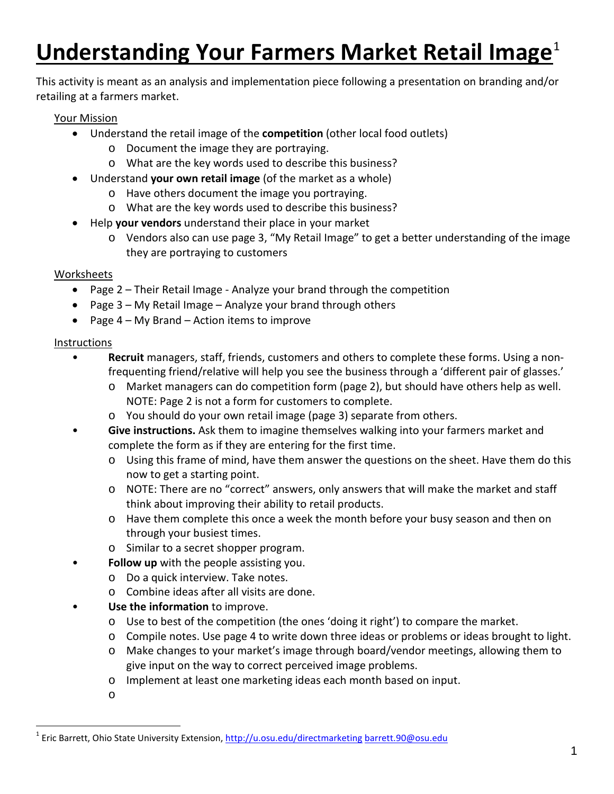# **Understanding Your Farmers Market Retail Image<sup>[1](#page-2-0)</sup>**

This activity is meant as an analysis and implementation piece following a presentation on branding and/or retailing at a farmers market.

### Your Mission

- Understand the retail image of the **competition** (other local food outlets)
	- o Document the image they are portraying.
	- o What are the key words used to describe this business?
- Understand **your own retail image** (of the market as a whole)
	- o Have others document the image you portraying.
	- o What are the key words used to describe this business?
- Help **your vendors** understand their place in your market
	- o Vendors also can use page 3, "My Retail Image" to get a better understanding of the image they are portraying to customers

### Worksheets

- Page 2 Their Retail Image Analyze your brand through the competition
- Page 3 My Retail Image Analyze your brand through others
- Page 4 My Brand Action items to improve

### Instructions

- **Recruit** managers, staff, friends, customers and others to complete these forms. Using a nonfrequenting friend/relative will help you see the business through a 'different pair of glasses.'
	- o Market managers can do competition form (page 2), but should have others help as well. NOTE: Page 2 is not a form for customers to complete.
	- o You should do your own retail image (page 3) separate from others.
- **Give instructions.** Ask them to imagine themselves walking into your farmers market and complete the form as if they are entering for the first time.
	- o Using this frame of mind, have them answer the questions on the sheet. Have them do this now to get a starting point.
	- o NOTE: There are no "correct" answers, only answers that will make the market and staff think about improving their ability to retail products.
	- o Have them complete this once a week the month before your busy season and then on through your busiest times.
	- o Similar to a secret shopper program.
- **Follow up** with the people assisting you.
	- o Do a quick interview. Take notes.
	- o Combine ideas after all visits are done.
- **Use the information** to improve.
	- o Use to best of the competition (the ones 'doing it right') to compare the market.
	- o Compile notes. Use page 4 to write down three ideas or problems or ideas brought to light.
	- o Make changes to your market's image through board/vendor meetings, allowing them to give input on the way to correct perceived image problems.
	- o Implement at least one marketing ideas each month based on input.
	- o

<span id="page-2-0"></span><sup>&</sup>lt;sup>1</sup> Eric Barrett, Ohio State University Extension,<http://u.osu.edu/directmarketing> [barrett.90@osu.edu](mailto:barrett.90@osu.edu)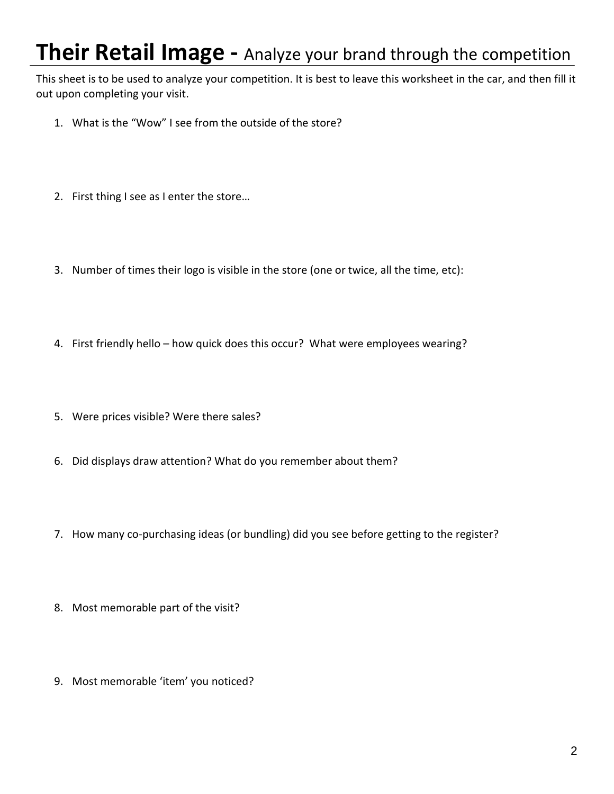# **Their Retail Image -** Analyze your brand through the competition

This sheet is to be used to analyze your competition. It is best to leave this worksheet in the car, and then fill it out upon completing your visit.

- 1. What is the "Wow" I see from the outside of the store?
- 2. First thing I see as I enter the store…
- 3. Number of times their logo is visible in the store (one or twice, all the time, etc):
- 4. First friendly hello how quick does this occur? What were employees wearing?
- 5. Were prices visible? Were there sales?
- 6. Did displays draw attention? What do you remember about them?
- 7. How many co-purchasing ideas (or bundling) did you see before getting to the register?
- 8. Most memorable part of the visit?
- 9. Most memorable 'item' you noticed?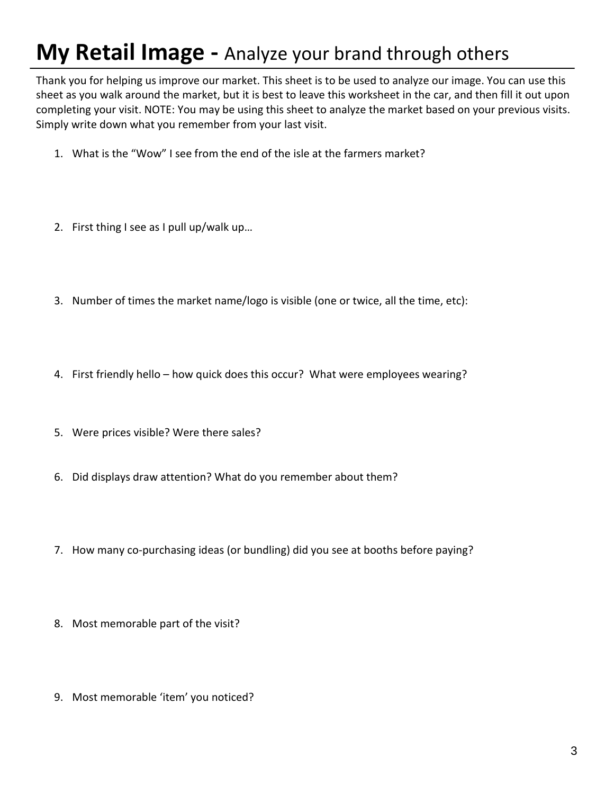# **My Retail Image -** Analyze your brand through others

Thank you for helping us improve our market. This sheet is to be used to analyze our image. You can use this sheet as you walk around the market, but it is best to leave this worksheet in the car, and then fill it out upon completing your visit. NOTE: You may be using this sheet to analyze the market based on your previous visits. Simply write down what you remember from your last visit.

- 1. What is the "Wow" I see from the end of the isle at the farmers market?
- 2. First thing I see as I pull up/walk up…
- 3. Number of times the market name/logo is visible (one or twice, all the time, etc):
- 4. First friendly hello how quick does this occur? What were employees wearing?
- 5. Were prices visible? Were there sales?
- 6. Did displays draw attention? What do you remember about them?
- 7. How many co-purchasing ideas (or bundling) did you see at booths before paying?
- 8. Most memorable part of the visit?
- 9. Most memorable 'item' you noticed?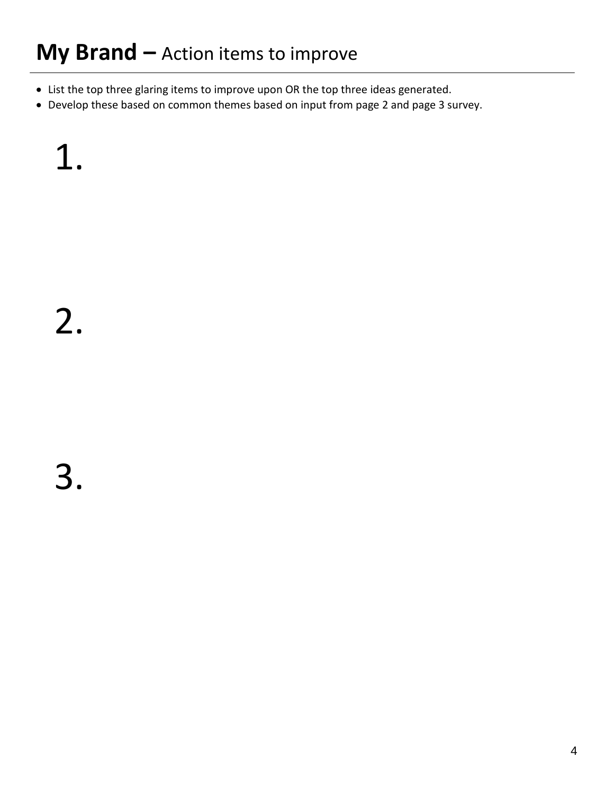# **My Brand –** Action items to improve

- List the top three glaring items to improve upon OR the top three ideas generated.
- Develop these based on common themes based on input from page 2 and page 3 survey.

1.

3.

2.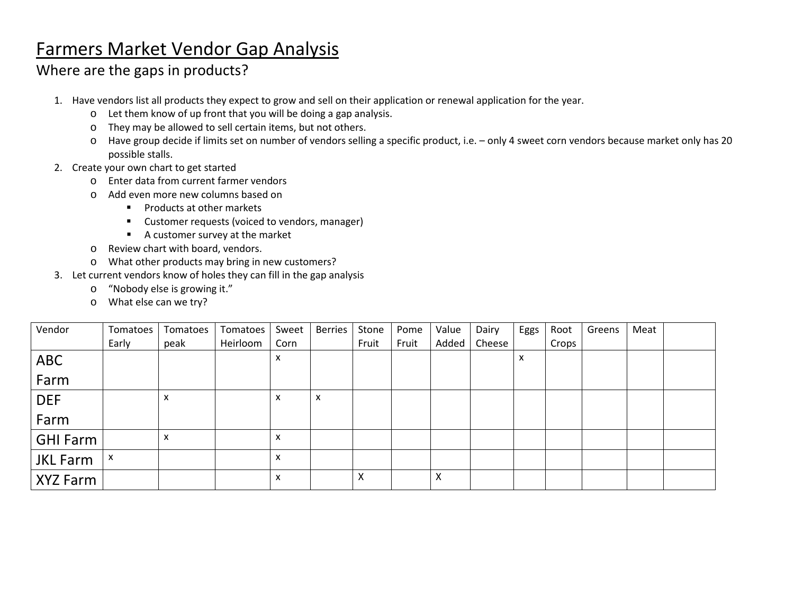## Farmers Market Vendor Gap Analysis

### Where are the gaps in products?

- 1. Have vendors list all products they expect to grow and sell on their application or renewal application for the year.
	- o Let them know of up front that you will be doing a gap analysis.
	- o They may be allowed to sell certain items, but not others.
	- o Have group decide if limits set on number of vendors selling a specific product, i.e. only 4 sweet corn vendors because market only has 20 possible stalls.
- 2. Create your own chart to get started
	- o Enter data from current farmer vendors
	- o Add even more new columns based on
		- **Products at other markets**
		- Customer requests (voiced to vendors, manager)
		- A customer survey at the market
	- o Review chart with board, vendors.
	- o What other products may bring in new customers?
- 3. Let current vendors know of holes they can fill in the gap analysis
	- o "Nobody else is growing it."
	- o What else can we try?

| Vendor          | Tomatoes | Tomatoes | Tomatoes | Sweet | <b>Berries</b> | Stone | Pome  | Value | Dairy  | Eggs | Root  | Greens | Meat |  |
|-----------------|----------|----------|----------|-------|----------------|-------|-------|-------|--------|------|-------|--------|------|--|
|                 | Early    | peak     | Heirloom | Corn  |                | Fruit | Fruit | Added | Cheese |      | Crops |        |      |  |
| ABC             |          |          |          | x     |                |       |       |       |        | X    |       |        |      |  |
| Farm            |          |          |          |       |                |       |       |       |        |      |       |        |      |  |
| <b>DEF</b>      |          | X        |          | x     | x              |       |       |       |        |      |       |        |      |  |
| Farm            |          |          |          |       |                |       |       |       |        |      |       |        |      |  |
| <b>GHI Farm</b> |          | X        |          | X     |                |       |       |       |        |      |       |        |      |  |
| <b>JKL Farm</b> | X        |          |          | X     |                |       |       |       |        |      |       |        |      |  |
| XYZ Farm        |          |          |          | x     |                | x     |       | X     |        |      |       |        |      |  |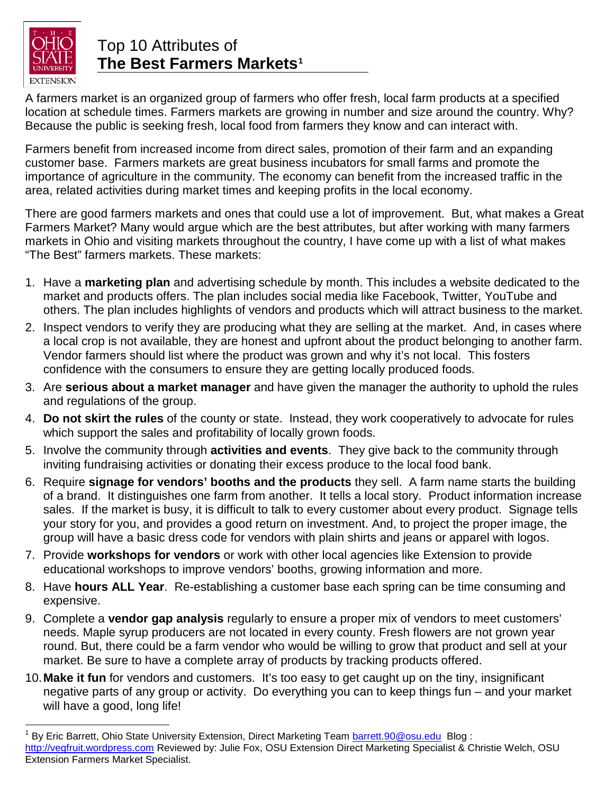

### Top 10 Attributes of **The Best Farmers Markets[1](#page-7-0)**

A farmers market is an organized group of farmers who offer fresh, local farm products at a specified location at schedule times. Farmers markets are growing in number and size around the country. Why? Because the public is seeking fresh, local food from farmers they know and can interact with.

Farmers benefit from increased income from direct sales, promotion of their farm and an expanding customer base. Farmers markets are great business incubators for small farms and promote the importance of agriculture in the community. The economy can benefit from the increased traffic in the area, related activities during market times and keeping profits in the local economy.

There are good farmers markets and ones that could use a lot of improvement. But, what makes a Great Farmers Market? Many would argue which are the best attributes, but after working with many farmers markets in Ohio and visiting markets throughout the country, I have come up with a list of what makes "The Best" farmers markets. These markets:

- 1. Have a **marketing plan** and advertising schedule by month. This includes a website dedicated to the market and products offers. The plan includes social media like Facebook, Twitter, YouTube and others. The plan includes highlights of vendors and products which will attract business to the market.
- 2. Inspect vendors to verify they are producing what they are selling at the market. And, in cases where a local crop is not available, they are honest and upfront about the product belonging to another farm. Vendor farmers should list where the product was grown and why it's not local. This fosters confidence with the consumers to ensure they are getting locally produced foods.
- 3. Are **serious about a market manager** and have given the manager the authority to uphold the rules and regulations of the group.
- 4. **Do not skirt the rules** of the county or state. Instead, they work cooperatively to advocate for rules which support the sales and profitability of locally grown foods.
- 5. Involve the community through **activities and events**. They give back to the community through inviting fundraising activities or donating their excess produce to the local food bank.
- 6. Require **signage for vendors' booths and the products** they sell. A farm name starts the building of a brand. It distinguishes one farm from another. It tells a local story. Product information increase sales. If the market is busy, it is difficult to talk to every customer about every product. Signage tells your story for you, and provides a good return on investment. And, to project the proper image, the group will have a basic dress code for vendors with plain shirts and jeans or apparel with logos.
- 7. Provide **workshops for vendors** or work with other local agencies like Extension to provide educational workshops to improve vendors' booths, growing information and more.
- 8. Have **hours ALL Year**. Re-establishing a customer base each spring can be time consuming and expensive.
- 9. Complete a **vendor gap analysis** regularly to ensure a proper mix of vendors to meet customers' needs. Maple syrup producers are not located in every county. Fresh flowers are not grown year round. But, there could be a farm vendor who would be willing to grow that product and sell at your market. Be sure to have a complete array of products by tracking products offered.
- 10.**Make it fun** for vendors and customers. It's too easy to get caught up on the tiny, insignificant negative parts of any group or activity. Do everything you can to keep things fun – and your market will have a good, long life!

<span id="page-7-0"></span>By Eric Barrett, Ohio State University Extension, Direct Marketing Team [barrett.90@osu.edu](mailto:barrett.90@osu.edu) Blog : [http://vegfruit.wordpress.com](http://vegfruit.wordpress.com/) Reviewed by: Julie Fox, OSU Extension Direct Marketing Specialist & Christie Welch, OSU Extension Farmers Market Specialist.